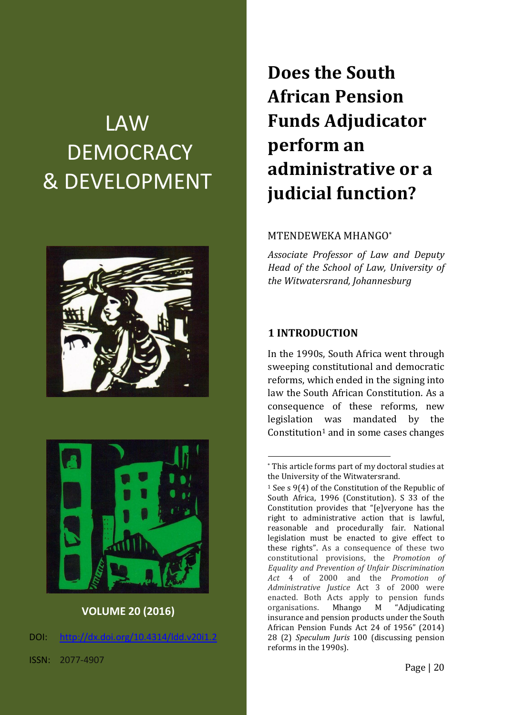# LAW **DEMOCRACY** & DEVELOPMENT





**VOLUME 20 (2016)**

DOI: [http://dx.doi.org/10.4314/ldd.v20i1.2](http://dx.doi.org/10.4314/ldd.v20i1.)

ISSN: 2077-4907

# **Does the South African Pension Funds Adjudicator perform an administrative or a judicial function?**

# MTENDEWEKA MHANGO\*

*Associate Professor of Law and Deputy Head of the School of Law, University of the Witwatersrand, Johannesburg* 

# **1 INTRODUCTION**

In the 1990s, South Africa went through sweeping constitutional and democratic reforms, which ended in the signing into law the South African Constitution. As a consequence of these reforms, new legislation was mandated by the Constitution<sup>1</sup> and in some cases changes

<sup>1</sup> \* This article forms part of my doctoral studies at the University of the Witwatersrand.

<sup>1</sup> See s 9(4) of the Constitution of the Republic of South Africa, 1996 (Constitution). S 33 of the Constitution provides that "[e]veryone has the right to administrative action that is lawful, reasonable and procedurally fair. National legislation must be enacted to give effect to these rights". As a consequence of these two constitutional provisions, the *Promotion of Equality and Prevention of Unfair Discrimination Act* 4 of 2000 and the *Promotion of Administrative Justice* Act 3 of 2000 were enacted. Both Acts apply to pension funds organisations. Mhango M "Adjudicating insurance and pension products under the South African Pension Funds Act 24 of 1956" (2014) 28 (2) *Speculum Juris* 100 (discussing pension reforms in the 1990s).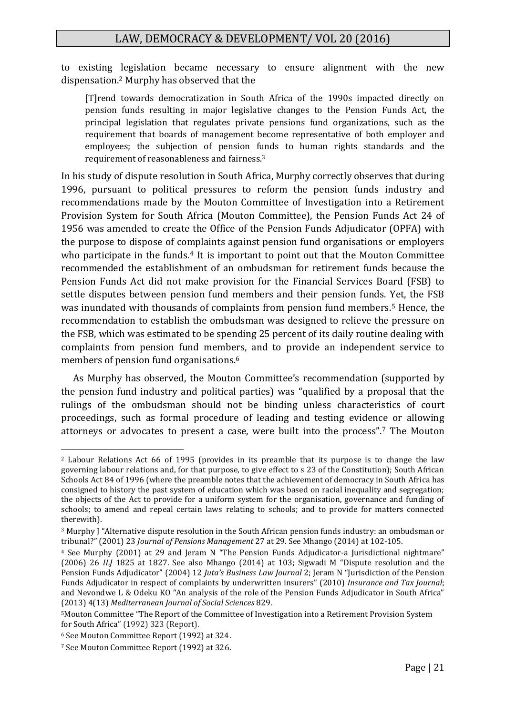to existing legislation became necessary to ensure alignment with the new dispensation.<sup>2</sup> Murphy has observed that the

[T]rend towards democratization in South Africa of the 1990s impacted directly on pension funds resulting in major legislative changes to the Pension Funds Act, the principal legislation that regulates private pensions fund organizations, such as the requirement that boards of management become representative of both employer and employees; the subjection of pension funds to human rights standards and the requirement of reasonableness and fairness.<sup>3</sup>

In his study of dispute resolution in South Africa, Murphy correctly observes that during 1996, pursuant to political pressures to reform the pension funds industry and recommendations made by the Mouton Committee of Investigation into a Retirement Provision System for South Africa (Mouton Committee), the Pension Funds Act 24 of 1956 was amended to create the Office of the Pension Funds Adjudicator (OPFA) with the purpose to dispose of complaints against pension fund organisations or employers who participate in the funds.<sup>4</sup> It is important to point out that the Mouton Committee recommended the establishment of an ombudsman for retirement funds because the Pension Funds Act did not make provision for the Financial Services Board (FSB) to settle disputes between pension fund members and their pension funds. Yet, the FSB was inundated with thousands of complaints from pension fund members.<sup>5</sup> Hence, the recommendation to establish the ombudsman was designed to relieve the pressure on the FSB, which was estimated to be spending 25 percent of its daily routine dealing with complaints from pension fund members, and to provide an independent service to members of pension fund organisations.<sup>6</sup>

As Murphy has observed, the Mouton Committee's recommendation (supported by the pension fund industry and political parties) was "qualified by a proposal that the rulings of the ombudsman should not be binding unless characteristics of court proceedings, such as formal procedure of leading and testing evidence or allowing attorneys or advocates to present a case, were built into the process".<sup>7</sup> The Mouton

<sup>2</sup> Labour Relations Act 66 of 1995 (provides in its preamble that its purpose is to change the law governing labour relations and, for that purpose, to give effect to s 23 of the Constitution); South African Schools Act 84 of 1996 (where the preamble notes that the achievement of democracy in South Africa has consigned to history the past system of education which was based on racial inequality and segregation; the objects of the Act to provide for a uniform system for the organisation, governance and funding of schools; to amend and repeal certain laws relating to schools; and to provide for matters connected therewith).

<sup>3</sup> Murphy J "Alternative dispute resolution in the South African pension funds industry: an ombudsman or tribunal?" (2001) 23 *Journal of Pensions Management* 27 at 29. See Mhango (2014) at 102-105.

<sup>4</sup> See Murphy (2001) at 29 and Jeram N "The Pension Funds Adjudicator-a Jurisdictional nightmare" (2006) 26 *ILJ* 1825 at 1827. See also Mhango (2014) at 103; Sigwadi M "Dispute resolution and the Pension Funds Adjudicator" (2004) 12 *Juta's Business Law Journal* 2; Jeram N "Jurisdiction of the Pension Funds Adjudicator in respect of complaints by underwritten insurers" (2010) *Insurance and Tax Journal*; and Nevondwe L & Odeku KO "An analysis of the role of the Pension Funds Adjudicator in South Africa" (2013) 4(13) *Mediterranean Journal of Social Sciences* 829.

<sup>5</sup>Mouton Committee "The Report of the Committee of Investigation into a Retirement Provision System for South Africa" (1992) 323 (Report).

<sup>6</sup> See Mouton Committee Report (1992) at 324.

<sup>7</sup> See Mouton Committee Report (1992) at 326.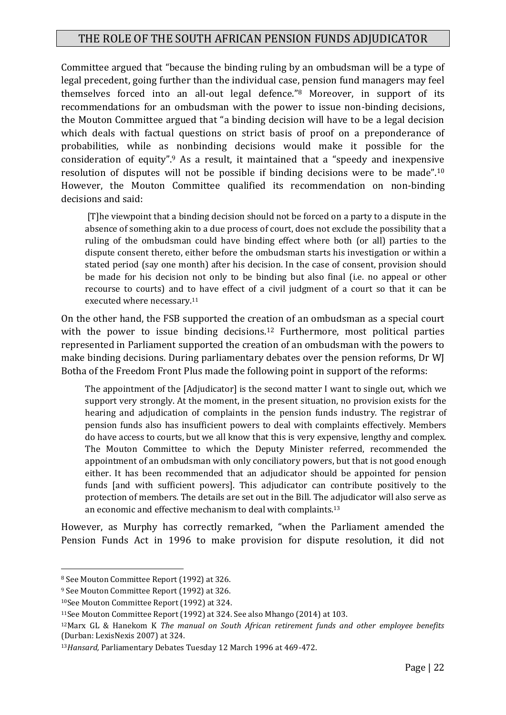Committee argued that "because the binding ruling by an ombudsman will be a type of legal precedent, going further than the individual case, pension fund managers may feel themselves forced into an all-out legal defence."<sup>8</sup> Moreover, in support of its recommendations for an ombudsman with the power to issue non-binding decisions, the Mouton Committee argued that "a binding decision will have to be a legal decision which deals with factual questions on strict basis of proof on a preponderance of probabilities, while as nonbinding decisions would make it possible for the consideration of equity".<sup>9</sup> As a result, it maintained that a "speedy and inexpensive resolution of disputes will not be possible if binding decisions were to be made".<sup>10</sup> However, the Mouton Committee qualified its recommendation on non-binding decisions and said:

[T]he viewpoint that a binding decision should not be forced on a party to a dispute in the absence of something akin to a due process of court, does not exclude the possibility that a ruling of the ombudsman could have binding effect where both (or all) parties to the dispute consent thereto, either before the ombudsman starts his investigation or within a stated period (say one month) after his decision. In the case of consent, provision should be made for his decision not only to be binding but also final (i.e. no appeal or other recourse to courts) and to have effect of a civil judgment of a court so that it can be executed where necessary.<sup>11</sup>

On the other hand, the FSB supported the creation of an ombudsman as a special court with the power to issue binding decisions.<sup>12</sup> Furthermore, most political parties represented in Parliament supported the creation of an ombudsman with the powers to make binding decisions. During parliamentary debates over the pension reforms, Dr WJ Botha of the Freedom Front Plus made the following point in support of the reforms:

The appointment of the [Adjudicator] is the second matter I want to single out, which we support very strongly. At the moment, in the present situation, no provision exists for the hearing and adjudication of complaints in the pension funds industry. The registrar of pension funds also has insufficient powers to deal with complaints effectively. Members do have access to courts, but we all know that this is very expensive, lengthy and complex. The Mouton Committee to which the Deputy Minister referred, recommended the appointment of an ombudsman with only conciliatory powers, but that is not good enough either. It has been recommended that an adjudicator should be appointed for pension funds [and with sufficient powers]. This adjudicator can contribute positively to the protection of members. The details are set out in the Bill. The adjudicator will also serve as an economic and effective mechanism to deal with complaints.<sup>13</sup>

However, as Murphy has correctly remarked, "when the Parliament amended the Pension Funds Act in 1996 to make provision for dispute resolution, it did not

<sup>8</sup> See Mouton Committee Report (1992) at 326.

<sup>9</sup> See Mouton Committee Report (1992) at 326.

<sup>10</sup>See Mouton Committee Report (1992) at 324.

<sup>11</sup>See Mouton Committee Report (1992) at 324. See also Mhango (2014) at 103.

<sup>12</sup>Marx GL & Hanekom K *The manual on South African retirement funds and other employee benefits* (Durban: LexisNexis 2007) at 324.

<sup>13</sup>*Hansard,* Parliamentary Debates Tuesday 12 March 1996 at 469-472.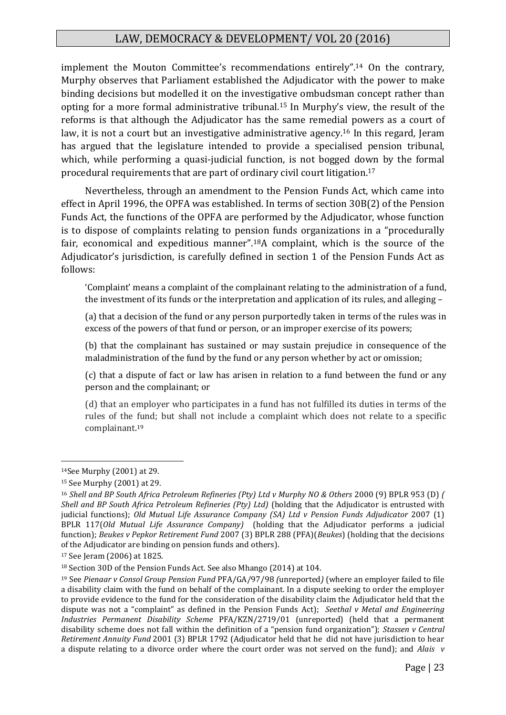implement the Mouton Committee's recommendations entirely".<sup>14</sup> On the contrary, Murphy observes that Parliament established the Adjudicator with the power to make binding decisions but modelled it on the investigative ombudsman concept rather than opting for a more formal administrative tribunal.<sup>15</sup> In Murphy's view, the result of the reforms is that although the Adjudicator has the same remedial powers as a court of law, it is not a court but an investigative administrative agency.<sup>16</sup> In this regard*,* Jeram has argued that the legislature intended to provide a specialised pension tribunal, which, while performing a quasi-judicial function, is not bogged down by the formal procedural requirements that are part of ordinary civil court litigation.<sup>17</sup>

Nevertheless, through an amendment to the Pension Funds Act, which came into effect in April 1996, the OPFA was established. In terms of section 30B(2) of the Pension Funds Act, the functions of the OPFA are performed by the Adjudicator, whose function is to dispose of complaints relating to pension funds organizations in a "procedurally fair, economical and expeditious manner".18A complaint, which is the source of the Adjudicator's jurisdiction, is carefully defined in section 1 of the Pension Funds Act as follows:

'Complaint' means a complaint of the complainant relating to the administration of a fund, the investment of its funds or the interpretation and application of its rules, and alleging –

(a) that a decision of the fund or any person purportedly taken in terms of the rules was in excess of the powers of that fund or person, or an improper exercise of its powers;

(b) that the complainant has sustained or may sustain prejudice in consequence of the maladministration of the fund by the fund or any person whether by act or omission;

(c) that a dispute of fact or law has arisen in relation to a fund between the fund or any person and the complainant; or

(d) that an employer who participates in a fund has not fulfilled its duties in terms of the rules of the fund; but shall not include a complaint which does not relate to a specific complainant. 19

<sup>14</sup>See Murphy (2001) at 29.

<sup>15</sup> See Murphy (2001) at 29.

<sup>16</sup> *Shell and BP South Africa Petroleum Refineries (Pty) Ltd v Murphy NO & Others* 2000 (9) BPLR 953 (D) *( Shell and BP South Africa Petroleum Refineries (Pty) Ltd)* (holding that the Adjudicator is entrusted with judicial functions); *Old Mutual Life Assurance Company (SA) Ltd v Pension Funds Adjudicator* 2007 (1) BPLR 117(*Old Mutual Life Assurance Company)* (holding that the Adjudicator performs a judicial function); *Beukes v Pepkor Retirement Fund* 2007 (3) BPLR 288 (PFA)(*Beukes*) (holding that the decisions of the Adjudicator are binding on pension funds and others).

<sup>17</sup> See Jeram (2006) at 1825.

<sup>18</sup> Section 30D of the Pension Funds Act. See also Mhango (2014) at 104.

<sup>19</sup> See *Pienaar v Consol Group Pension Fund* PFA/GA/97/98 *(*unreported*)* (where an employer failed to file a disability claim with the fund on behalf of the complainant. In a dispute seeking to order the employer to provide evidence to the fund for the consideration of the disability claim the Adjudicator held that the dispute was not a "complaint" as defined in the Pension Funds Act); *Seethal v Metal and Engineering Industries Permanent Disability Scheme* PFA/KZN/2719/01 (unreported) (held that a permanent disability scheme does not fall within the definition of a "pension fund organization"); *Stassen v Central Retirement Annuity Fund* 2001 (3) BPLR 1792 (Adjudicator held that he did not have jurisdiction to hear a dispute relating to a divorce order where the court order was not served on the fund); and *Alais v*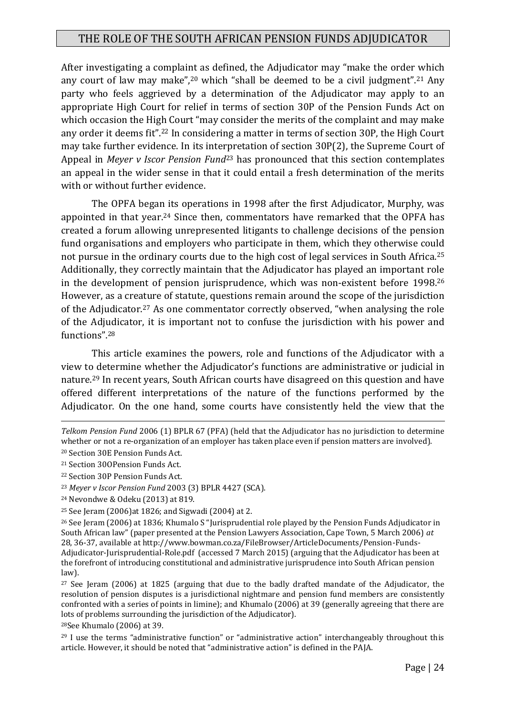After investigating a complaint as defined, the Adjudicator may "make the order which any court of law may make", $20$  which "shall be deemed to be a civil judgment".<sup>21</sup> Any party who feels aggrieved by a determination of the Adjudicator may apply to an appropriate High Court for relief in terms of section 30P of the Pension Funds Act on which occasion the High Court "may consider the merits of the complaint and may make any order it deems fit".<sup>22</sup> In considering a matter in terms of section 30P, the High Court may take further evidence. In its interpretation of section 30P(2), the Supreme Court of Appeal in *Meyer v Iscor Pension Fund*<sup>23</sup> has pronounced that this section contemplates an appeal in the wider sense in that it could entail a fresh determination of the merits with or without further evidence.

The OPFA began its operations in 1998 after the first Adjudicator, Murphy, was appointed in that year.<sup>24</sup> Since then, commentators have remarked that the OPFA has created a forum allowing unrepresented litigants to challenge decisions of the pension fund organisations and employers who participate in them, which they otherwise could not pursue in the ordinary courts due to the high cost of legal services in South Africa.<sup>25</sup> Additionally, they correctly maintain that the Adjudicator has played an important role in the development of pension jurisprudence, which was non-existent before 1998.<sup>26</sup> However, as a creature of statute, questions remain around the scope of the jurisdiction of the Adjudicator.<sup>27</sup> As one commentator correctly observed, "when analysing the role of the Adjudicator, it is important not to confuse the jurisdiction with his power and functions".<sup>28</sup>

This article examines the powers, role and functions of the Adjudicator with a view to determine whether the Adjudicator's functions are administrative or judicial in nature.<sup>29</sup> In recent years, South African courts have disagreed on this question and have offered different interpretations of the nature of the functions performed by the Adjudicator. On the one hand, some courts have consistently held the view that the

1

<sup>28</sup>See Khumalo (2006) at 39.

*Telkom Pension Fund* 2006 (1) BPLR 67 (PFA) (held that the Adjudicator has no jurisdiction to determine whether or not a re-organization of an employer has taken place even if pension matters are involved).

<sup>20</sup> Section 30E Pension Funds Act.

<sup>21</sup> Section 30OPension Funds Act.

<sup>22</sup> Section 30P Pension Funds Act.

<sup>23</sup> *Meyer v Iscor Pension Fund* 2003 (3) BPLR 4427 (SCA).

<sup>24</sup> Nevondwe & Odeku (2013) at 819.

<sup>25</sup> See Jeram (2006)at 1826; and Sigwadi (2004) at 2.

<sup>26</sup> See Jeram (2006) at 1836; Khumalo S "Jurisprudential role played by the Pension Funds Adjudicator in South African law" (paper presented at the Pension Lawyers Association, Cape Town, 5 March 2006) *at* 28, 36-37, available at http://www.bowman.co.za/FileBrowser/ArticleDocuments/Pension-Funds-Adjudicator-Jurisprudential-Role.pdf (accessed 7 March 2015) (arguing that the Adjudicator has been at the forefront of introducing constitutional and administrative jurisprudence into South African pension law).

<sup>&</sup>lt;sup>27</sup> See Jeram (2006) at 1825 (arguing that due to the badly drafted mandate of the Adjudicator, the resolution of pension disputes is a jurisdictional nightmare and pension fund members are consistently confronted with a series of points in limine); and Khumalo (2006) at 39 (generally agreeing that there are lots of problems surrounding the jurisdiction of the Adjudicator).

 $29$  I use the terms "administrative function" or "administrative action" interchangeably throughout this article. However, it should be noted that "administrative action" is defined in the PAJA.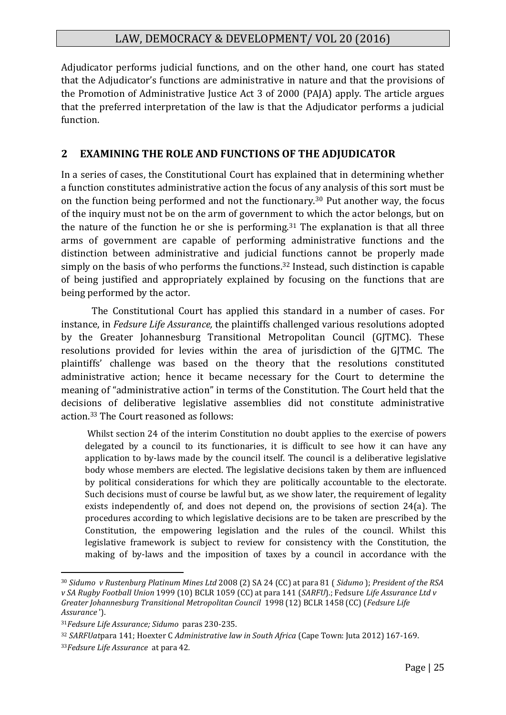Adjudicator performs judicial functions, and on the other hand, one court has stated that the Adjudicator's functions are administrative in nature and that the provisions of the Promotion of Administrative Justice Act 3 of 2000 (PAJA) apply. The article argues that the preferred interpretation of the law is that the Adjudicator performs a judicial function.

# **2 EXAMINING THE ROLE AND FUNCTIONS OF THE ADJUDICATOR**

In a series of cases, the Constitutional Court has explained that in determining whether a function constitutes administrative action the focus of any analysis of this sort must be on the function being performed and not the functionary.<sup>30</sup> Put another way, the focus of the inquiry must not be on the arm of government to which the actor belongs, but on the nature of the function he or she is performing.<sup>31</sup> The explanation is that all three arms of government are capable of performing administrative functions and the distinction between administrative and judicial functions cannot be properly made simply on the basis of who performs the functions.<sup>32</sup> Instead, such distinction is capable of being justified and appropriately explained by focusing on the functions that are being performed by the actor.

The Constitutional Court has applied this standard in a number of cases. For instance, in *Fedsure Life Assurance,* the plaintiffs challenged various resolutions adopted by the Greater Johannesburg Transitional Metropolitan Council (GJTMC). These resolutions provided for levies within the area of jurisdiction of the GJTMC. The plaintiffs' challenge was based on the theory that the resolutions constituted administrative action; hence it became necessary for the Court to determine the meaning of "administrative action" in terms of the Constitution. The Court held that the decisions of deliberative legislative assemblies did not constitute administrative action.<sup>33</sup> The Court reasoned as follows:

Whilst section 24 of the interim Constitution no doubt applies to the exercise of powers delegated by a council to its functionaries, it is difficult to see how it can have any application to by-laws made by the council itself. The council is a deliberative legislative body whose members are elected. The legislative decisions taken by them are influenced by political considerations for which they are politically accountable to the electorate. Such decisions must of course be lawful but, as we show later, the requirement of legality exists independently of, and does not depend on, the provisions of section 24(a). The procedures according to which legislative decisions are to be taken are prescribed by the Constitution, the empowering legislation and the rules of the council. Whilst this legislative framework is subject to review for consistency with the Constitution, the making of by-laws and the imposition of taxes by a council in accordance with the

<sup>30</sup> *Sidumo v Rustenburg Platinum Mines Ltd* 2008 (2) SA 24 (CC) at para 81 ( *Sidumo* ); *President of the RSA v SA Rugby Football Union* 1999 (10) BCLR 1059 (CC) at para 141 (*SARFU*)*.*; Fedsure *Life Assurance Ltd v Greater Johannesburg Transitional Metropolitan Council* 1998 (12) BCLR 1458 (CC) (*Fedsure Life Assurance* ').

<sup>31</sup>*Fedsure Life Assurance; Sidumo* paras 230-235.

<sup>32</sup> *SARFUat*para 141; Hoexter C *Administrative law in South Africa* (Cape Town: Juta 2012) 167-169. 33*Fedsure Life Assurance* at para 42*.*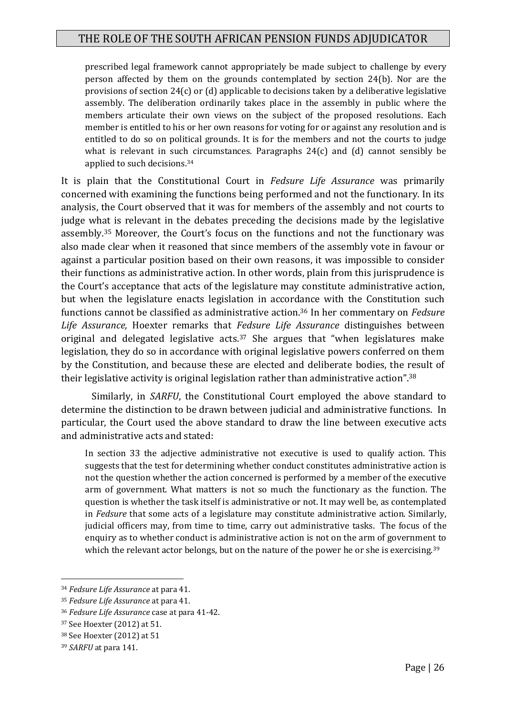prescribed legal framework cannot appropriately be made subject to challenge by every person affected by them on the grounds contemplated by section 24(b). Nor are the provisions of section  $24(c)$  or (d) applicable to decisions taken by a deliberative legislative assembly. The deliberation ordinarily takes place in the assembly in public where the members articulate their own views on the subject of the proposed resolutions. Each member is entitled to his or her own reasons for voting for or against any resolution and is entitled to do so on political grounds. It is for the members and not the courts to judge what is relevant in such circumstances. Paragraphs 24(c) and (d) cannot sensibly be applied to such decisions.<sup>34</sup>

It is plain that the Constitutional Court in *Fedsure Life Assurance* was primarily concerned with examining the functions being performed and not the functionary. In its analysis, the Court observed that it was for members of the assembly and not courts to judge what is relevant in the debates preceding the decisions made by the legislative assembly.<sup>35</sup> Moreover, the Court's focus on the functions and not the functionary was also made clear when it reasoned that since members of the assembly vote in favour or against a particular position based on their own reasons, it was impossible to consider their functions as administrative action. In other words, plain from this jurisprudence is the Court's acceptance that acts of the legislature may constitute administrative action, but when the legislature enacts legislation in accordance with the Constitution such functions cannot be classified as administrative action.<sup>36</sup> In her commentary on *Fedsure Life Assurance,* Hoexter remarks that *Fedsure Life Assurance* distinguishes between original and delegated legislative acts.<sup>37</sup> She argues that "when legislatures make legislation, they do so in accordance with original legislative powers conferred on them by the Constitution, and because these are elected and deliberate bodies, the result of their legislative activity is original legislation rather than administrative action".<sup>38</sup>

Similarly, in *SARFU*, the Constitutional Court employed the above standard to determine the distinction to be drawn between judicial and administrative functions. In particular, the Court used the above standard to draw the line between executive acts and administrative acts and stated:

In section 33 the adjective administrative not executive is used to qualify action. This suggests that the test for determining whether conduct constitutes administrative action is not the question whether the action concerned is performed by a member of the executive arm of government. What matters is not so much the functionary as the function. The question is whether the task itself is administrative or not. It may well be, as contemplated in *Fedsure* that some acts of a legislature may constitute administrative action. Similarly, judicial officers may, from time to time, carry out administrative tasks. The focus of the enquiry as to whether conduct is administrative action is not on the arm of government to which the relevant actor belongs, but on the nature of the power he or she is exercising.<sup>39</sup>

<sup>34</sup> *Fedsure Life Assurance* at para 41.

<sup>35</sup> *Fedsure Life Assurance* at para 41.

<sup>36</sup> *Fedsure Life Assurance* case at para 41-42.

<sup>37</sup> See Hoexter (2012) at 51.

<sup>38</sup> See Hoexter (2012) at 51

<sup>39</sup> *SARFU* at para 141.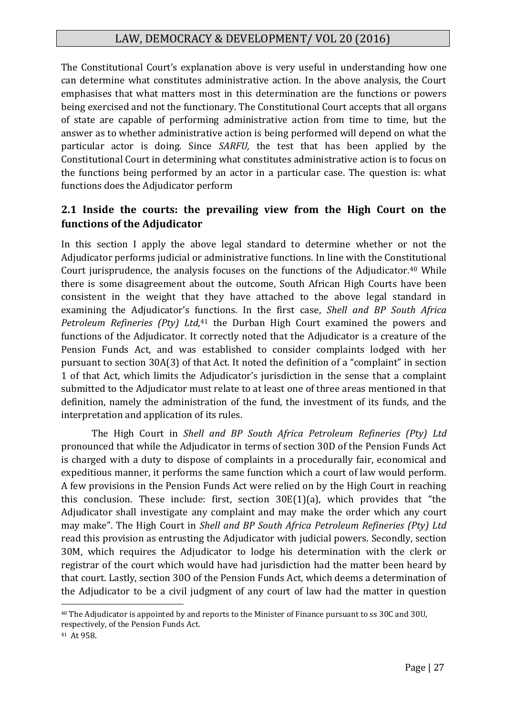The Constitutional Court's explanation above is very useful in understanding how one can determine what constitutes administrative action. In the above analysis, the Court emphasises that what matters most in this determination are the functions or powers being exercised and not the functionary. The Constitutional Court accepts that all organs of state are capable of performing administrative action from time to time, but the answer as to whether administrative action is being performed will depend on what the particular actor is doing. Since *SARFU,* the test that has been applied by the Constitutional Court in determining what constitutes administrative action is to focus on the functions being performed by an actor in a particular case. The question is: what functions does the Adjudicator perform

#### **2.1 Inside the courts: the prevailing view from the High Court on the functions of the Adjudicator**

In this section I apply the above legal standard to determine whether or not the Adjudicator performs judicial or administrative functions. In line with the Constitutional Court jurisprudence, the analysis focuses on the functions of the Adjudicator.<sup>40</sup> While there is some disagreement about the outcome, South African High Courts have been consistent in the weight that they have attached to the above legal standard in examining the Adjudicator's functions. In the first case, *Shell and BP South Africa Petroleum Refineries (Pty) Ltd,*<sup>41</sup> the Durban High Court examined the powers and functions of the Adjudicator. It correctly noted that the Adjudicator is a creature of the Pension Funds Act, and was established to consider complaints lodged with her pursuant to section 30A(3) of that Act. It noted the definition of a "complaint" in section 1 of that Act, which limits the Adjudicator's jurisdiction in the sense that a complaint submitted to the Adjudicator must relate to at least one of three areas mentioned in that definition, namely the administration of the fund, the investment of its funds, and the interpretation and application of its rules.

The High Court in *Shell and BP South Africa Petroleum Refineries (Pty) Ltd* pronounced that while the Adjudicator in terms of section 30D of the Pension Funds Act is charged with a duty to dispose of complaints in a procedurally fair, economical and expeditious manner, it performs the same function which a court of law would perform. A few provisions in the Pension Funds Act were relied on by the High Court in reaching this conclusion. These include: first, section 30E(1)(a), which provides that "the Adjudicator shall investigate any complaint and may make the order which any court may make". The High Court in *Shell and BP South Africa Petroleum Refineries (Pty) Ltd* read this provision as entrusting the Adjudicator with judicial powers. Secondly, section 30M, which requires the Adjudicator to lodge his determination with the clerk or registrar of the court which would have had jurisdiction had the matter been heard by that court. Lastly, section 30O of the Pension Funds Act, which deems a determination of the Adjudicator to be a civil judgment of any court of law had the matter in question

<sup>40</sup> The Adjudicator is appointed by and reports to the Minister of Finance pursuant to ss 30C and 30U, respectively, of the Pension Funds Act.

<sup>41</sup> At 958.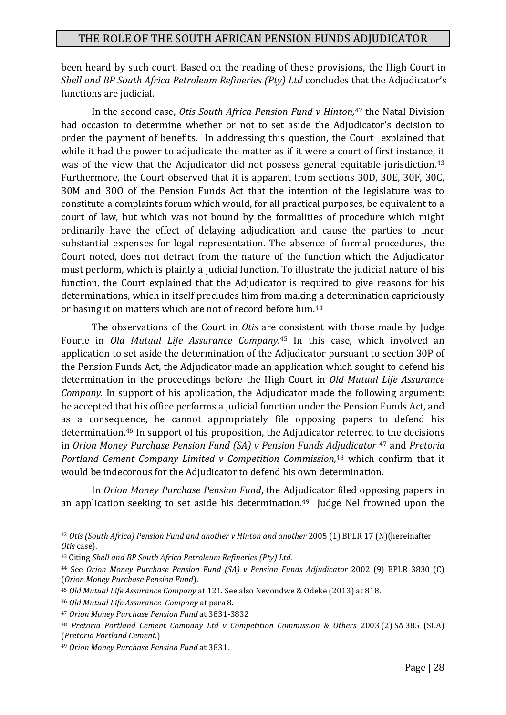been heard by such court. Based on the reading of these provisions, the High Court in *Shell and BP South Africa Petroleum Refineries (Pty) Ltd* concludes that the Adjudicator's functions are judicial.

In the second case, *Otis South Africa Pension Fund v Hinton,*<sup>42</sup> the Natal Division had occasion to determine whether or not to set aside the Adjudicator's decision to order the payment of benefits. In addressing this question, the Court explained that while it had the power to adjudicate the matter as if it were a court of first instance, it was of the view that the Adjudicator did not possess general equitable jurisdiction.<sup>43</sup> Furthermore, the Court observed that it is apparent from sections 30D, 30E, 30F, 30C, 30M and 30O of the Pension Funds Act that the intention of the legislature was to constitute a complaints forum which would, for all practical purposes, be equivalent to a court of law, but which was not bound by the formalities of procedure which might ordinarily have the effect of delaying adjudication and cause the parties to incur substantial expenses for legal representation. The absence of formal procedures, the Court noted, does not detract from the nature of the function which the Adjudicator must perform, which is plainly a judicial function. To illustrate the judicial nature of his function, the Court explained that the Adjudicator is required to give reasons for his determinations, which in itself precludes him from making a determination capriciously or basing it on matters which are not of record before him.<sup>44</sup>

The observations of the Court in *Otis* are consistent with those made by Judge Fourie in *Old Mutual Life Assurance Company.*<sup>45</sup> In this case, which involved an application to set aside the determination of the Adjudicator pursuant to section 30P of the Pension Funds Act, the Adjudicator made an application which sought to defend his determination in the proceedings before the High Court in *Old Mutual Life Assurance Company.* In support of his application, the Adjudicator made the following argument: he accepted that his office performs a judicial function under the Pension Funds Act, and as a consequence, he cannot appropriately file opposing papers to defend his determination.<sup>46</sup> In support of his proposition, the Adjudicator referred to the decisions in *Orion Money Purchase Pension Fund (SA) v Pension Funds Adjudicator* <sup>47</sup> and *Pretoria Portland Cement Company Limited v Competition Commission,*<sup>48</sup> which confirm that it would be indecorous for the Adjudicator to defend his own determination.

In *Orion Money Purchase Pension Fund*, the Adjudicator filed opposing papers in an application seeking to set aside his determination.<sup>49</sup> Judge Nel frowned upon the

<sup>42</sup> *Otis (South Africa) Pension Fund and another v Hinton and another* 2005 (1) BPLR 17 (N)(hereinafter *Otis* case).

<sup>43</sup> Citing *Shell and BP South Africa Petroleum Refineries (Pty) Ltd.*

<sup>44</sup> See *Orion Money Purchase Pension Fund (SA) v Pension Funds Adjudicator* 2002 (9) BPLR 3830 (C) (*Orion Money Purchase Pension Fund*).

<sup>45</sup> *Old Mutual Life Assurance Company* at 121. See also Nevondwe & Odeke (2013) at 818.

<sup>46</sup> *Old Mutual Life Assurance Company* at para 8.

<sup>47</sup> *Orion Money Purchase Pension Fund* at 3831-3832

<sup>48</sup> *Pretoria Portland Cement Company Ltd v Competition Commission & Others* 2003 (2) SA 385 (SCA) (*Pretoria Portland Cement*.)

<sup>49</sup> *Orion Money Purchase Pension Fund* at 3831.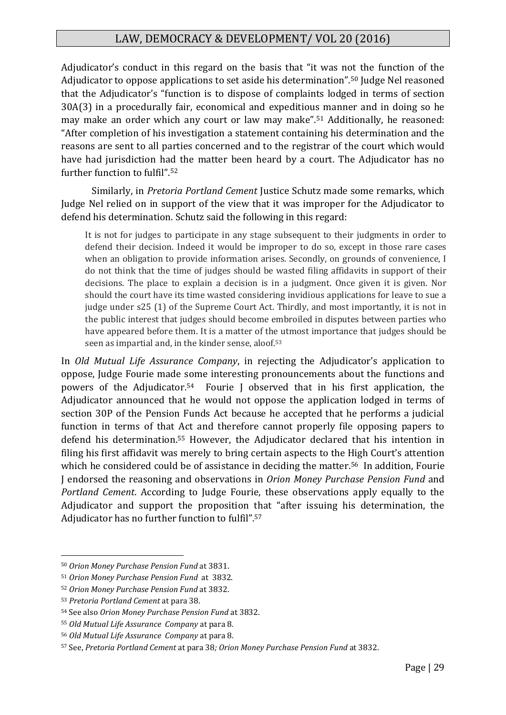Adjudicator's conduct in this regard on the basis that "it was not the function of the Adjudicator to oppose applications to set aside his determination".<sup>50</sup> Judge Nel reasoned that the Adjudicator's "function is to dispose of complaints lodged in terms of section 30A(3) in a procedurally fair, economical and expeditious manner and in doing so he may make an order which any court or law may make".<sup>51</sup> Additionally, he reasoned: "After completion of his investigation a statement containing his determination and the reasons are sent to all parties concerned and to the registrar of the court which would have had jurisdiction had the matter been heard by a court. The Adjudicator has no further function to fulfil".<sup>52</sup>

Similarly, in *Pretoria Portland Cement* Justice Schutz made some remarks, which Judge Nel relied on in support of the view that it was improper for the Adjudicator to defend his determination. Schutz said the following in this regard:

It is not for judges to participate in any stage subsequent to their judgments in order to defend their decision. Indeed it would be improper to do so, except in those rare cases when an obligation to provide information arises. Secondly, on grounds of convenience, I do not think that the time of judges should be wasted filing affidavits in support of their decisions. The place to explain a decision is in a judgment. Once given it is given. Nor should the court have its time wasted considering invidious applications for leave to sue a judge under s25 (1) of the Supreme Court Act. Thirdly, and most importantly, it is not in the public interest that judges should become embroiled in disputes between parties who have appeared before them. It is a matter of the utmost importance that judges should be seen as impartial and, in the kinder sense, aloof.<sup>53</sup>

In *Old Mutual Life Assurance Company*, in rejecting the Adjudicator's application to oppose, Judge Fourie made some interesting pronouncements about the functions and powers of the Adjudicator.54 Fourie J observed that in his first application, the Adjudicator announced that he would not oppose the application lodged in terms of section 30P of the Pension Funds Act because he accepted that he performs a judicial function in terms of that Act and therefore cannot properly file opposing papers to defend his determination.<sup>55</sup> However, the Adjudicator declared that his intention in filing his first affidavit was merely to bring certain aspects to the High Court's attention which he considered could be of assistance in deciding the matter.<sup>56</sup> In addition, Fourie J endorsed the reasoning and observations in *Orion Money Purchase Pension Fund* and *Portland Cement*. According to Judge Fourie, these observations apply equally to the Adjudicator and support the proposition that "after issuing his determination, the Adjudicator has no further function to fulfil".<sup>57</sup>

<sup>50</sup> *Orion Money Purchase Pension Fund* at 3831.

<sup>51</sup> *Orion Money Purchase Pension Fund* at 3832.

<sup>52</sup> *Orion Money Purchase Pension Fund* at 3832.

<sup>53</sup> *Pretoria Portland Cement* at para 38.

<sup>54</sup> See also *Orion Money Purchase Pension Fund* at 3832.

<sup>55</sup> *Old Mutual Life Assurance Company* at para 8*.*

<sup>56</sup> *Old Mutual Life Assurance Company* at para 8.

<sup>57</sup> See, *Pretoria Portland Cement* at para 38*; Orion Money Purchase Pension Fund* at 3832.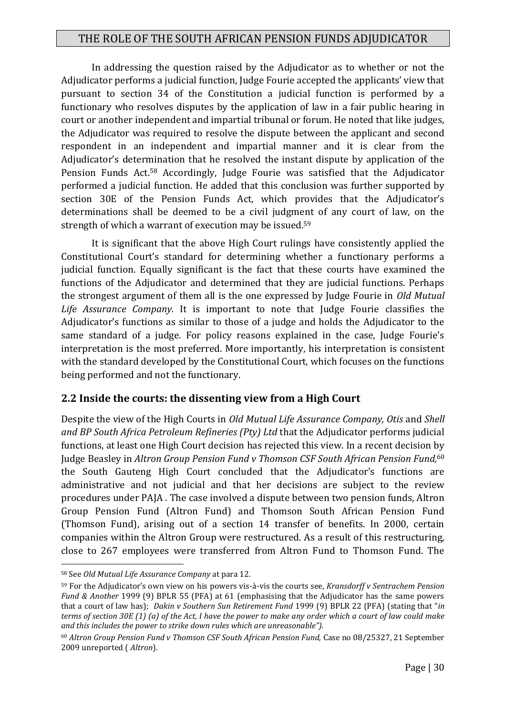In addressing the question raised by the Adjudicator as to whether or not the Adjudicator performs a judicial function, Judge Fourie accepted the applicants' view that pursuant to section 34 of the Constitution a judicial function is performed by a functionary who resolves disputes by the application of law in a fair public hearing in court or another independent and impartial tribunal or forum. He noted that like judges, the Adjudicator was required to resolve the dispute between the applicant and second respondent in an independent and impartial manner and it is clear from the Adjudicator's determination that he resolved the instant dispute by application of the Pension Funds Act.<sup>58</sup> Accordingly, Judge Fourie was satisfied that the Adjudicator performed a judicial function. He added that this conclusion was further supported by section 30E of the Pension Funds Act, which provides that the Adjudicator's determinations shall be deemed to be a civil judgment of any court of law, on the strength of which a warrant of execution may be issued.<sup>59</sup>

It is significant that the above High Court rulings have consistently applied the Constitutional Court's standard for determining whether a functionary performs a judicial function. Equally significant is the fact that these courts have examined the functions of the Adjudicator and determined that they are judicial functions. Perhaps the strongest argument of them all is the one expressed by Judge Fourie in *Old Mutual Life Assurance Company.* It is important to note that Judge Fourie classifies the Adjudicator's functions as similar to those of a judge and holds the Adjudicator to the same standard of a judge. For policy reasons explained in the case, Judge Fourie's interpretation is the most preferred. More importantly, his interpretation is consistent with the standard developed by the Constitutional Court, which focuses on the functions being performed and not the functionary.

#### **2.2 Inside the courts: the dissenting view from a High Court**

Despite the view of the High Courts in *Old Mutual Life Assurance Company, Otis* and *Shell and BP South Africa Petroleum Refineries (Pty) Ltd* that the Adjudicator performs judicial functions, at least one High Court decision has rejected this view. In a recent decision by Judge Beasley in *Altron Group Pension Fund v Thomson CSF South African Pension Fund,*<sup>60</sup> the South Gauteng High Court concluded that the Adjudicator's functions are administrative and not judicial and that her decisions are subject to the review procedures under PAJA . The case involved a dispute between two pension funds, Altron Group Pension Fund (Altron Fund) and Thomson South African Pension Fund (Thomson Fund), arising out of a section 14 transfer of benefits. In 2000, certain companies within the Altron Group were restructured. As a result of this restructuring, close to 267 employees were transferred from Altron Fund to Thomson Fund. The

<sup>58</sup> See *Old Mutual Life Assurance Company* at para 12.

<sup>59</sup> For the Adjudicator's own view on his powers vis-à-vis the courts see, *Kransdorff v Sentrachem Pension Fund & Another* 1999 (9) BPLR 55 (PFA) at 61 (emphasising that the Adjudicator has the same powers that a court of law has); *Dakin v Southern Sun Retirement Fund* 1999 (9) BPLR 22 (PFA) (stating that "*in terms of section 30E (1) (a) of the Act, I have the power to make any order which a court of law could make and this includes the power to strike down rules which are unreasonable").*

<sup>60</sup> *Altron Group Pension Fund v Thomson CSF South African Pension Fund,* Case no 08/25327, 21 September 2009 unreported ( *Altron*).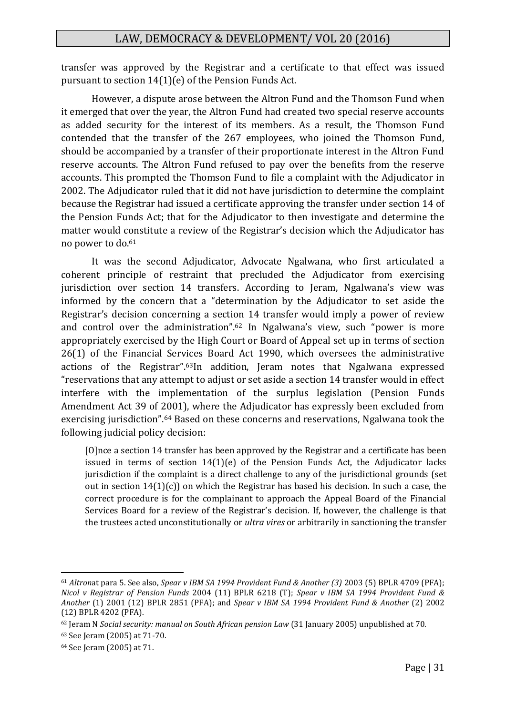transfer was approved by the Registrar and a certificate to that effect was issued pursuant to section 14(1)(e) of the Pension Funds Act.

However, a dispute arose between the Altron Fund and the Thomson Fund when it emerged that over the year, the Altron Fund had created two special reserve accounts as added security for the interest of its members. As a result, the Thomson Fund contended that the transfer of the 267 employees, who joined the Thomson Fund, should be accompanied by a transfer of their proportionate interest in the Altron Fund reserve accounts. The Altron Fund refused to pay over the benefits from the reserve accounts. This prompted the Thomson Fund to file a complaint with the Adjudicator in 2002. The Adjudicator ruled that it did not have jurisdiction to determine the complaint because the Registrar had issued a certificate approving the transfer under section 14 of the Pension Funds Act; that for the Adjudicator to then investigate and determine the matter would constitute a review of the Registrar's decision which the Adjudicator has no power to do.<sup>61</sup>

It was the second Adjudicator, Advocate Ngalwana, who first articulated a coherent principle of restraint that precluded the Adjudicator from exercising jurisdiction over section 14 transfers. According to Jeram, Ngalwana's view was informed by the concern that a "determination by the Adjudicator to set aside the Registrar's decision concerning a section 14 transfer would imply a power of review and control over the administration".<sup>62</sup> In Ngalwana's view, such "power is more appropriately exercised by the High Court or Board of Appeal set up in terms of section 26(1) of the Financial Services Board Act 1990, which oversees the administrative actions of the Registrar".63In addition, Jeram notes that Ngalwana expressed "reservations that any attempt to adjust or set aside a section 14 transfer would in effect interfere with the implementation of the surplus legislation (Pension Funds Amendment Act 39 of 2001), where the Adjudicator has expressly been excluded from exercising jurisdiction".<sup>64</sup> Based on these concerns and reservations, Ngalwana took the following judicial policy decision:

[O]nce a section 14 transfer has been approved by the Registrar and a certificate has been issued in terms of section  $14(1)(e)$  of the Pension Funds Act, the Adjudicator lacks jurisdiction if the complaint is a direct challenge to any of the jurisdictional grounds (set out in section  $14(1)(c)$  on which the Registrar has based his decision. In such a case, the correct procedure is for the complainant to approach the Appeal Board of the Financial Services Board for a review of the Registrar's decision. If, however, the challenge is that the trustees acted unconstitutionally or *ultra vires* or arbitrarily in sanctioning the transfer

<sup>61</sup> *Altron*at para 5. See also, *Spear v IBM SA 1994 Provident Fund & Another (3)* 2003 (5) BPLR 4709 (PFA); *Nicol v Registrar of Pension Funds* 2004 (11) BPLR 6218 (T); *Spear v IBM SA 1994 Provident Fund & Another* (1) 2001 (12) BPLR 2851 (PFA); and *Spear v IBM SA 1994 Provident Fund & Another* (2) 2002 (12) BPLR 4202 (PFA).

<sup>62</sup> Jeram N *Social security: manual on South African pension Law* (31 January 2005) unpublished at 70.

<sup>63</sup> See Jeram (2005) at 71-70.

<sup>64</sup> See Jeram (2005) at 71.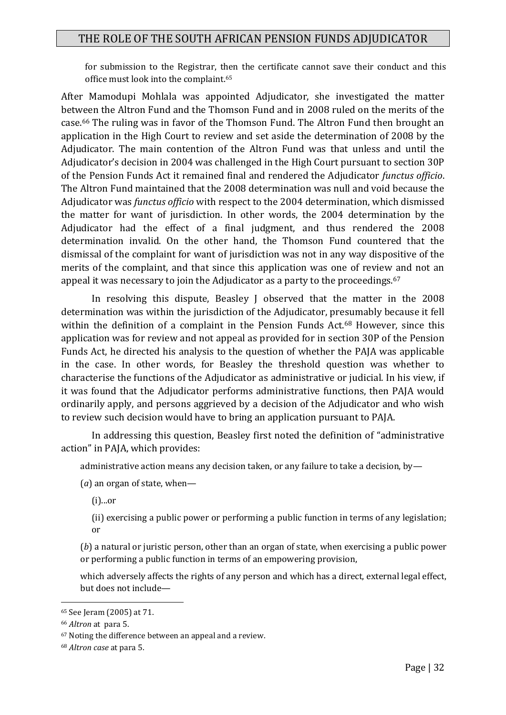for submission to the Registrar, then the certificate cannot save their conduct and this office must look into the complaint.<sup>65</sup>

After Mamodupi Mohlala was appointed Adjudicator, she investigated the matter between the Altron Fund and the Thomson Fund and in 2008 ruled on the merits of the case.<sup>66</sup> The ruling was in favor of the Thomson Fund. The Altron Fund then brought an application in the High Court to review and set aside the determination of 2008 by the Adjudicator. The main contention of the Altron Fund was that unless and until the Adjudicator's decision in 2004 was challenged in the High Court pursuant to section 30P of the Pension Funds Act it remained final and rendered the Adjudicator *functus officio*. The Altron Fund maintained that the 2008 determination was null and void because the Adjudicator was *functus officio* with respect to the 2004 determination, which dismissed the matter for want of jurisdiction. In other words, the 2004 determination by the Adjudicator had the effect of a final judgment, and thus rendered the 2008 determination invalid. On the other hand, the Thomson Fund countered that the dismissal of the complaint for want of jurisdiction was not in any way dispositive of the merits of the complaint, and that since this application was one of review and not an appeal it was necessary to join the Adjudicator as a party to the proceedings.<sup>67</sup>

In resolving this dispute, Beasley J observed that the matter in the 2008 determination was within the jurisdiction of the Adjudicator, presumably because it fell within the definition of a complaint in the Pension Funds Act.<sup>68</sup> However, since this application was for review and not appeal as provided for in section 30P of the Pension Funds Act, he directed his analysis to the question of whether the PAJA was applicable in the case. In other words, for Beasley the threshold question was whether to characterise the functions of the Adjudicator as administrative or judicial. In his view, if it was found that the Adjudicator performs administrative functions, then PAJA would ordinarily apply, and persons aggrieved by a decision of the Adjudicator and who wish to review such decision would have to bring an application pursuant to PAJA.

In addressing this question, Beasley first noted the definition of "administrative action" in PAJA, which provides:

administrative action means any decision taken, or any failure to take a decision, by—

(*a*) an organ of state, when—

(i)...or

(ii) exercising a public power or performing a public function in terms of any legislation; or

 (*b*) a natural or juristic person, other than an organ of state, when exercising a public power or performing a public function in terms of an empowering provision,

which adversely affects the rights of any person and which has a direct, external legal effect, but does not include—

<sup>65</sup> See Jeram (2005) at 71.

<sup>66</sup> *Altron* at para 5.

<sup>67</sup> Noting the difference between an appeal and a review.

<sup>68</sup> *Altron case* at para 5.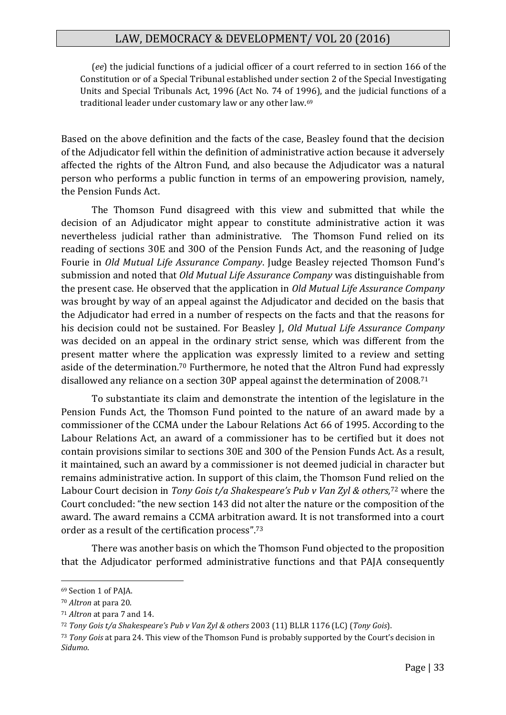(*ee*) the judicial functions of a judicial officer of a court referred to in section 166 of the Constitution or of a Special Tribunal established under section 2 of the Special Investigating Units and Special Tribunals Act, 1996 (Act No. 74 of 1996), and the judicial functions of a traditional leader under customary law or any other law.<sup>69</sup>

Based on the above definition and the facts of the case, Beasley found that the decision of the Adjudicator fell within the definition of administrative action because it adversely affected the rights of the Altron Fund, and also because the Adjudicator was a natural person who performs a public function in terms of an empowering provision, namely, the Pension Funds Act.

The Thomson Fund disagreed with this view and submitted that while the decision of an Adjudicator might appear to constitute administrative action it was nevertheless judicial rather than administrative. The Thomson Fund relied on its reading of sections 30E and 30O of the Pension Funds Act, and the reasoning of Judge Fourie in *Old Mutual Life Assurance Company*. Judge Beasley rejected Thomson Fund's submission and noted that *Old Mutual Life Assurance Company* was distinguishable from the present case. He observed that the application in *Old Mutual Life Assurance Company*  was brought by way of an appeal against the Adjudicator and decided on the basis that the Adjudicator had erred in a number of respects on the facts and that the reasons for his decision could not be sustained. For Beasley J, *Old Mutual Life Assurance Company*  was decided on an appeal in the ordinary strict sense, which was different from the present matter where the application was expressly limited to a review and setting aside of the determination.<sup>70</sup> Furthermore, he noted that the Altron Fund had expressly disallowed any reliance on a section 30P appeal against the determination of 2008.<sup>71</sup>

To substantiate its claim and demonstrate the intention of the legislature in the Pension Funds Act, the Thomson Fund pointed to the nature of an award made by a commissioner of the CCMA under the Labour Relations Act 66 of 1995. According to the Labour Relations Act, an award of a commissioner has to be certified but it does not contain provisions similar to sections 30E and 30O of the Pension Funds Act. As a result, it maintained, such an award by a commissioner is not deemed judicial in character but remains administrative action. In support of this claim, the Thomson Fund relied on the Labour Court decision in *Tony Gois t/a Shakespeare's Pub v Van Zyl & others,*<sup>72</sup> where the Court concluded: "the new section 143 did not alter the nature or the composition of the award. The award remains a CCMA arbitration award. It is not transformed into a court order as a result of the certification process".<sup>73</sup>

There was another basis on which the Thomson Fund objected to the proposition that the Adjudicator performed administrative functions and that PAJA consequently

<sup>69</sup> Section 1 of PAJA.

<sup>70</sup> *Altron* at para 20.

<sup>71</sup> *Altron* at para 7 and 14.

<sup>72</sup> *Tony Gois t/a Shakespeare's Pub v Van Zyl & others* 2003 (11) BLLR 1176 (LC) (*Tony Gois*).

<sup>73</sup> *Tony Gois* at para 24. This view of the Thomson Fund is probably supported by the Court's decision in *Sidumo*.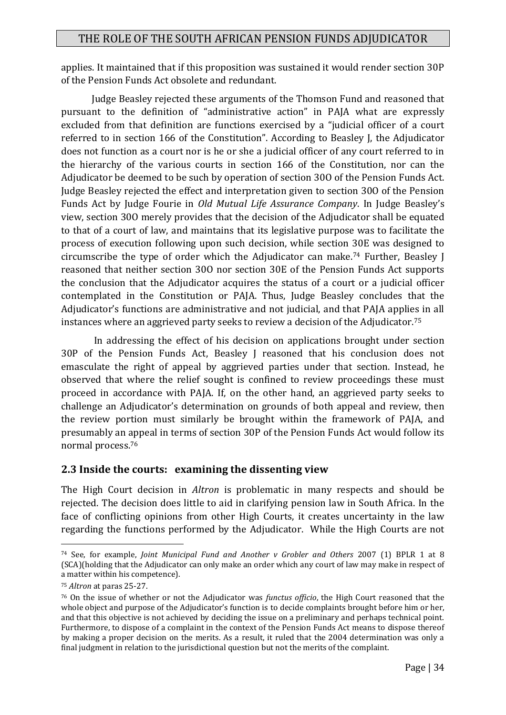applies. It maintained that if this proposition was sustained it would render section 30P of the Pension Funds Act obsolete and redundant.

Judge Beasley rejected these arguments of the Thomson Fund and reasoned that pursuant to the definition of "administrative action" in PAJA what are expressly excluded from that definition are functions exercised by a "judicial officer of a court referred to in section 166 of the Constitution". According to Beasley J, the Adjudicator does not function as a court nor is he or she a judicial officer of any court referred to in the hierarchy of the various courts in section 166 of the Constitution, nor can the Adjudicator be deemed to be such by operation of section 30O of the Pension Funds Act. Judge Beasley rejected the effect and interpretation given to section 30O of the Pension Funds Act by Judge Fourie in *Old Mutual Life Assurance Company*. In Judge Beasley's view, section 30O merely provides that the decision of the Adjudicator shall be equated to that of a court of law, and maintains that its legislative purpose was to facilitate the process of execution following upon such decision, while section 30E was designed to circumscribe the type of order which the Adjudicator can make.<sup>74</sup> Further, Beasley J reasoned that neither section 30O nor section 30E of the Pension Funds Act supports the conclusion that the Adjudicator acquires the status of a court or a judicial officer contemplated in the Constitution or PAJA. Thus, Judge Beasley concludes that the Adjudicator's functions are administrative and not judicial, and that PAJA applies in all instances where an aggrieved party seeks to review a decision of the Adjudicator.<sup>75</sup>

In addressing the effect of his decision on applications brought under section 30P of the Pension Funds Act, Beasley J reasoned that his conclusion does not emasculate the right of appeal by aggrieved parties under that section. Instead, he observed that where the relief sought is confined to review proceedings these must proceed in accordance with PAJA. If, on the other hand, an aggrieved party seeks to challenge an Adjudicator's determination on grounds of both appeal and review, then the review portion must similarly be brought within the framework of PAJA, and presumably an appeal in terms of section 30P of the Pension Funds Act would follow its normal process.<sup>76</sup>

#### **2.3 Inside the courts: examining the dissenting view**

The High Court decision in *Altron* is problematic in many respects and should be rejected. The decision does little to aid in clarifying pension law in South Africa. In the face of conflicting opinions from other High Courts, it creates uncertainty in the law regarding the functions performed by the Adjudicator. While the High Courts are not

<sup>1</sup> <sup>74</sup> See, for example, *Joint Municipal Fund and Another v Grobler and Others* 2007 (1) BPLR 1 at 8 (SCA)(holding that the Adjudicator can only make an order which any court of law may make in respect of a matter within his competence).

<sup>75</sup> *Altron* at paras 25-27.

<sup>76</sup> On the issue of whether or not the Adjudicator was *functus officio*, the High Court reasoned that the whole object and purpose of the Adjudicator's function is to decide complaints brought before him or her, and that this objective is not achieved by deciding the issue on a preliminary and perhaps technical point. Furthermore, to dispose of a complaint in the context of the Pension Funds Act means to dispose thereof by making a proper decision on the merits. As a result, it ruled that the 2004 determination was only a final judgment in relation to the jurisdictional question but not the merits of the complaint.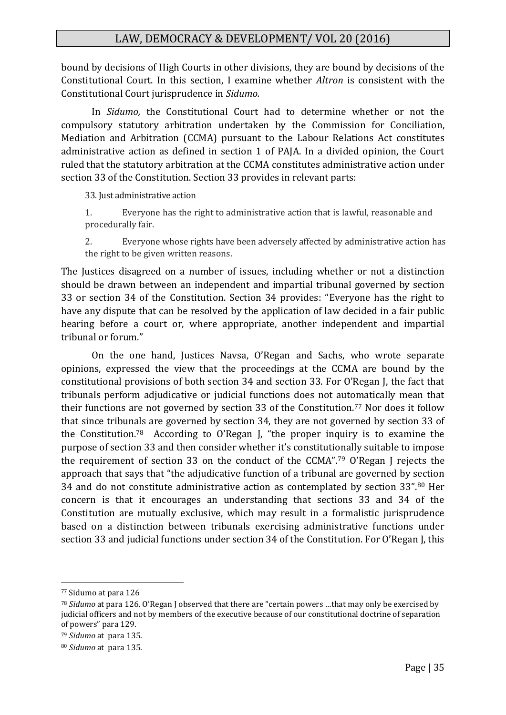bound by decisions of High Courts in other divisions, they are bound by decisions of the Constitutional Court. In this section, I examine whether *Altron* is consistent with the Constitutional Court jurisprudence in *Sidumo.*

In *Sidumo,* the Constitutional Court had to determine whether or not the compulsory statutory arbitration undertaken by the Commission for Conciliation, Mediation and Arbitration (CCMA) pursuant to the Labour Relations Act constitutes administrative action as defined in section 1 of PAJA. In a divided opinion, the Court ruled that the statutory arbitration at the CCMA constitutes administrative action under section 33 of the Constitution. Section 33 provides in relevant parts:

33. Just administrative action

1. Everyone has the right to administrative action that is lawful, reasonable and procedurally fair.

2. Everyone whose rights have been adversely affected by administrative action has the right to be given written reasons.

The Justices disagreed on a number of issues, including whether or not a distinction should be drawn between an independent and impartial tribunal governed by section 33 or section 34 of the Constitution. Section 34 provides: "Everyone has the right to have any dispute that can be resolved by the application of law decided in a fair public hearing before a court or, where appropriate, another independent and impartial tribunal or forum."

On the one hand, Justices Navsa, O'Regan and Sachs, who wrote separate opinions, expressed the view that the proceedings at the CCMA are bound by the constitutional provisions of both section 34 and section 33. For O'Regan J, the fact that tribunals perform adjudicative or judicial functions does not automatically mean that their functions are not governed by section 33 of the Constitution.<sup>77</sup> Nor does it follow that since tribunals are governed by section 34, they are not governed by section 33 of the Constitution.<sup>78</sup> According to O'Regan J, "the proper inquiry is to examine the purpose of section 33 and then consider whether it's constitutionally suitable to impose the requirement of section 33 on the conduct of the CCMA".<sup>79</sup> O'Regan J rejects the approach that says that "the adjudicative function of a tribunal are governed by section 34 and do not constitute administrative action as contemplated by section 33".<sup>80</sup> Her concern is that it encourages an understanding that sections 33 and 34 of the Constitution are mutually exclusive, which may result in a formalistic jurisprudence based on a distinction between tribunals exercising administrative functions under section 33 and judicial functions under section 34 of the Constitution. For O'Regan J, this

<sup>77</sup> Sidumo at para 126

<sup>78</sup> *Sidumo* at para 126. O'Regan J observed that there are "certain powers …that may only be exercised by judicial officers and not by members of the executive because of our constitutional doctrine of separation of powers" para 129.

<sup>79</sup> *Sidumo* at para 135.

<sup>80</sup> *Sidumo* at para 135.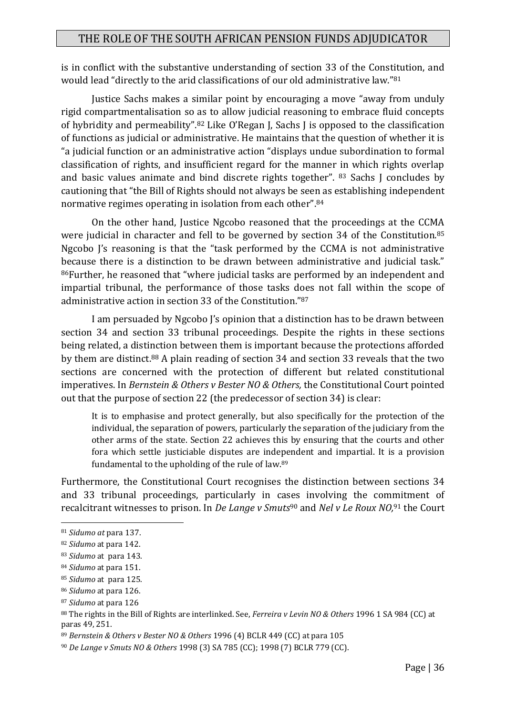is in conflict with the substantive understanding of section 33 of the Constitution, and would lead "directly to the arid classifications of our old administrative law."<sup>81</sup>

Justice Sachs makes a similar point by encouraging a move "away from unduly rigid compartmentalisation so as to allow judicial reasoning to embrace fluid concepts of hybridity and permeability".<sup>82</sup> Like O'Regan J, Sachs J is opposed to the classification of functions as judicial or administrative. He maintains that the question of whether it is "a judicial function or an administrative action "displays undue subordination to formal classification of rights, and insufficient regard for the manner in which rights overlap and basic values animate and bind discrete rights together". <sup>83</sup> Sachs J concludes by cautioning that "the Bill of Rights should not always be seen as establishing independent normative regimes operating in isolation from each other".<sup>84</sup>

On the other hand, Justice Ngcobo reasoned that the proceedings at the CCMA were judicial in character and fell to be governed by section 34 of the Constitution.<sup>85</sup> Ngcobo J's reasoning is that the "task performed by the CCMA is not administrative because there is a distinction to be drawn between administrative and judicial task." <sup>86</sup>Further, he reasoned that "where judicial tasks are performed by an independent and impartial tribunal, the performance of those tasks does not fall within the scope of administrative action in section 33 of the Constitution."<sup>87</sup>

I am persuaded by Ngcobo J's opinion that a distinction has to be drawn between section 34 and section 33 tribunal proceedings. Despite the rights in these sections being related, a distinction between them is important because the protections afforded by them are distinct.<sup>88</sup> A plain reading of section 34 and section 33 reveals that the two sections are concerned with the protection of different but related constitutional imperatives. In *Bernstein & Others v Bester NO & Others,* the Constitutional Court pointed out that the purpose of section 22 (the predecessor of section 34) is clear:

It is to emphasise and protect generally, but also specifically for the protection of the individual, the separation of powers, particularly the separation of the judiciary from the other arms of the state. Section 22 achieves this by ensuring that the courts and other fora which settle justiciable disputes are independent and impartial. It is a provision fundamental to the upholding of the rule of law.<sup>89</sup>

Furthermore, the Constitutional Court recognises the distinction between sections 34 and 33 tribunal proceedings, particularly in cases involving the commitment of recalcitrant witnesses to prison. In *De Lange v Smuts*<sup>90</sup> and *Nel v Le Roux NO,*<sup>91</sup> the Court

<u>.</u>

<sup>85</sup> *Sidumo* at para 125.

<sup>81</sup> *Sidumo at* para 137.

<sup>82</sup> *Sidumo* at para 142.

<sup>83</sup> *Sidumo* at para 143.

<sup>84</sup> *Sidumo* at para 151.

<sup>86</sup> *Sidumo* at para 126.

<sup>87</sup> *Sidumo* at para 126

<sup>88</sup> The rights in the Bill of Rights are interlinked. See, *Ferreira v Levin NO & Others* 1996 1 SA 984 (CC) at paras 49, 251.

<sup>89</sup> *Bernstein & Others v Bester NO & Others* 1996 (4) BCLR 449 (CC) at para 105

<sup>90</sup> *De Lange v Smuts NO & Others* 1998 (3) SA 785 (CC); 1998 (7) BCLR 779 (CC).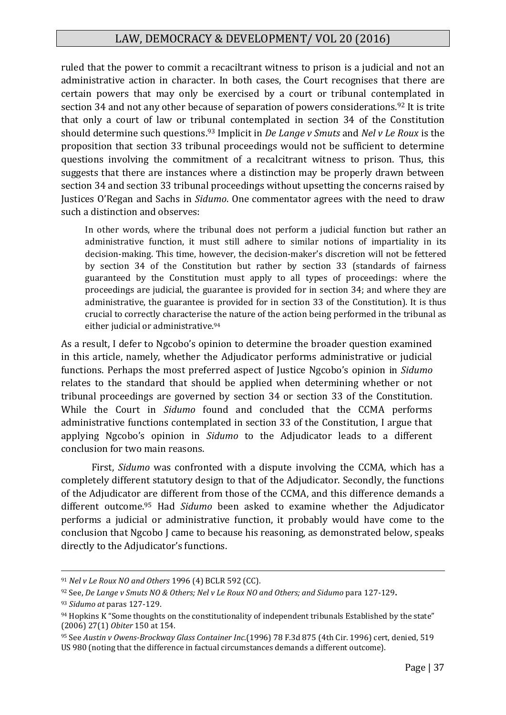ruled that the power to commit a recaciltrant witness to prison is a judicial and not an administrative action in character. In both cases, the Court recognises that there are certain powers that may only be exercised by a court or tribunal contemplated in section 34 and not any other because of separation of powers considerations.<sup>92</sup> It is trite that only a court of law or tribunal contemplated in section 34 of the Constitution should determine such questions.<sup>93</sup> Implicit in *De Lange v Smuts* and *Nel v Le Roux* is the proposition that section 33 tribunal proceedings would not be sufficient to determine questions involving the commitment of a recalcitrant witness to prison. Thus, this suggests that there are instances where a distinction may be properly drawn between section 34 and section 33 tribunal proceedings without upsetting the concerns raised by Justices O'Regan and Sachs in *Sidumo*. One commentator agrees with the need to draw such a distinction and observes:

In other words, where the tribunal does not perform a judicial function but rather an administrative function, it must still adhere to similar notions of impartiality in its decision-making. This time, however, the decision-maker's discretion will not be fettered by section 34 of the Constitution but rather by section 33 (standards of fairness guaranteed by the Constitution must apply to all types of proceedings: where the proceedings are judicial, the guarantee is provided for in section 34; and where they are administrative, the guarantee is provided for in section 33 of the Constitution). It is thus crucial to correctly characterise the nature of the action being performed in the tribunal as either judicial or administrative.<sup>94</sup>

As a result, I defer to Ngcobo's opinion to determine the broader question examined in this article, namely, whether the Adjudicator performs administrative or judicial functions. Perhaps the most preferred aspect of Justice Ngcobo's opinion in *Sidumo* relates to the standard that should be applied when determining whether or not tribunal proceedings are governed by section 34 or section 33 of the Constitution. While the Court in *Sidumo* found and concluded that the CCMA performs administrative functions contemplated in section 33 of the Constitution, I argue that applying Ngcobo's opinion in *Sidumo* to the Adjudicator leads to a different conclusion for two main reasons.

First, *Sidumo* was confronted with a dispute involving the CCMA, which has a completely different statutory design to that of the Adjudicator. Secondly, the functions of the Adjudicator are different from those of the CCMA, and this difference demands a different outcome.<sup>95</sup> Had *Sidumo* been asked to examine whether the Adjudicator performs a judicial or administrative function, it probably would have come to the conclusion that Ngcobo J came to because his reasoning, as demonstrated below, speaks directly to the Adjudicator's functions.

<sup>91</sup> *Nel v Le Roux NO and Others* 1996 (4) BCLR 592 (CC).

<sup>92</sup> See, *De Lange v Smuts NO & Others; Nel v Le Roux NO and Others; and Sidumo* para 127-129**.**

<sup>93</sup> *Sidumo at* paras 127-129.

<sup>94</sup> Hopkins K "Some thoughts on the constitutionality of independent tribunals Established by the state" (2006) 27(1) *Obiter* 150 at 154.

<sup>95</sup> See *Austin v Owens-Brockway Glass Container Inc.*(1996) 78 F.3d 875 (4th Cir. 1996) cert, denied, 519 US 980 (noting that the difference in factual circumstances demands a different outcome).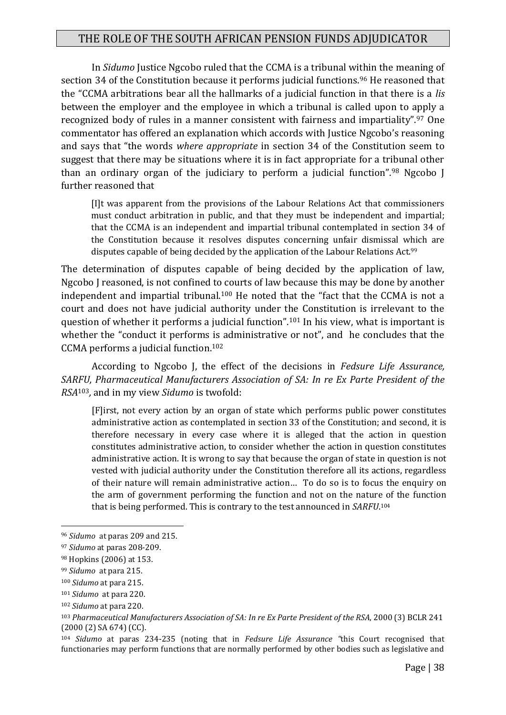In *Sidumo* Justice Ngcobo ruled that the CCMA is a tribunal within the meaning of section 34 of the Constitution because it performs judicial functions.<sup>96</sup> He reasoned that the "CCMA arbitrations bear all the hallmarks of a judicial function in that there is a *lis* between the employer and the employee in which a tribunal is called upon to apply a recognized body of rules in a manner consistent with fairness and impartiality".<sup>97</sup> One commentator has offered an explanation which accords with Justice Ngcobo's reasoning and says that "the words *where appropriate* in section 34 of the Constitution seem to suggest that there may be situations where it is in fact appropriate for a tribunal other than an ordinary organ of the judiciary to perform a judicial function".<sup>98</sup> Ngcobo J further reasoned that

[I]t was apparent from the provisions of the Labour Relations Act that commissioners must conduct arbitration in public, and that they must be independent and impartial; that the CCMA is an independent and impartial tribunal contemplated in section 34 of the Constitution because it resolves disputes concerning unfair dismissal which are disputes capable of being decided by the application of the Labour Relations Act.<sup>99</sup>

The determination of disputes capable of being decided by the application of law, Ngcobo J reasoned, is not confined to courts of law because this may be done by another independent and impartial tribunal.<sup>100</sup> He noted that the "fact that the CCMA is not a court and does not have judicial authority under the Constitution is irrelevant to the question of whether it performs a judicial function".<sup>101</sup> In his view, what is important is whether the "conduct it performs is administrative or not", and he concludes that the CCMA performs a judicial function.<sup>102</sup>

According to Ngcobo J, the effect of the decisions in *Fedsure Life Assurance, SARFU, Pharmaceutical Manufacturers Association of SA: In re Ex Parte President of the RSA*103*,* and in my view *Sidumo* is twofold:

[F]irst, not every action by an organ of state which performs public power constitutes administrative action as contemplated in section 33 of the Constitution; and second, it is therefore necessary in every case where it is alleged that the action in question constitutes administrative action, to consider whether the action in question constitutes administrative action. It is wrong to say that because the organ of state in question is not vested with judicial authority under the Constitution therefore all its actions, regardless of their nature will remain administrative action… To do so is to focus the enquiry on the arm of government performing the function and not on the nature of the function that is being performed. This is contrary to the test announced in *SARFU*. 104

<sup>96</sup> *Sidumo* at paras 209 and 215.

<sup>97</sup> *Sidumo* at paras 208-209.

<sup>98</sup> Hopkins (2006) at 153.

<sup>99</sup> *Sidumo* at para 215.

<sup>100</sup> *Sidumo* at para 215.

<sup>101</sup> *Sidumo* at para 220.

<sup>102</sup> *Sidumo* at para 220.

<sup>103</sup> *Pharmaceutical Manufacturers Association of SA: In re Ex Parte President of the RSA*, 2000 (3) BCLR 241 (2000 (2) SA 674) (CC).

<sup>104</sup> *Sidumo* at paras 234-235 (noting that in *Fedsure Life Assurance "*this Court recognised that functionaries may perform functions that are normally performed by other bodies such as legislative and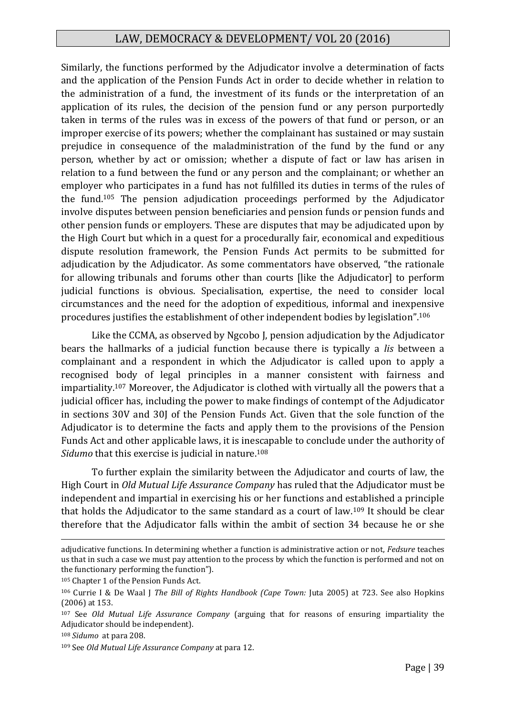Similarly, the functions performed by the Adjudicator involve a determination of facts and the application of the Pension Funds Act in order to decide whether in relation to the administration of a fund, the investment of its funds or the interpretation of an application of its rules, the decision of the pension fund or any person purportedly taken in terms of the rules was in excess of the powers of that fund or person, or an improper exercise of its powers; whether the complainant has sustained or may sustain prejudice in consequence of the maladministration of the fund by the fund or any person, whether by act or omission; whether a dispute of fact or law has arisen in relation to a fund between the fund or any person and the complainant; or whether an employer who participates in a fund has not fulfilled its duties in terms of the rules of the fund.<sup>105</sup> The pension adjudication proceedings performed by the Adjudicator involve disputes between pension beneficiaries and pension funds or pension funds and other pension funds or employers. These are disputes that may be adjudicated upon by the High Court but which in a quest for a procedurally fair, economical and expeditious dispute resolution framework, the Pension Funds Act permits to be submitted for adjudication by the Adjudicator. As some commentators have observed, "the rationale for allowing tribunals and forums other than courts [like the Adjudicator] to perform judicial functions is obvious. Specialisation, expertise, the need to consider local circumstances and the need for the adoption of expeditious, informal and inexpensive procedures justifies the establishment of other independent bodies by legislation".<sup>106</sup>

Like the CCMA, as observed by Ngcobo J, pension adjudication by the Adjudicator bears the hallmarks of a judicial function because there is typically a *lis* between a complainant and a respondent in which the Adjudicator is called upon to apply a recognised body of legal principles in a manner consistent with fairness and impartiality.<sup>107</sup> Moreover, the Adjudicator is clothed with virtually all the powers that a judicial officer has, including the power to make findings of contempt of the Adjudicator in sections 30V and 30J of the Pension Funds Act. Given that the sole function of the Adjudicator is to determine the facts and apply them to the provisions of the Pension Funds Act and other applicable laws, it is inescapable to conclude under the authority of *Sidumo* that this exercise is judicial in nature.<sup>108</sup>

To further explain the similarity between the Adjudicator and courts of law, the High Court in *Old Mutual Life Assurance Company* has ruled that the Adjudicator must be independent and impartial in exercising his or her functions and established a principle that holds the Adjudicator to the same standard as a court of law.<sup>109</sup> It should be clear therefore that the Adjudicator falls within the ambit of section 34 because he or she

<sup>108</sup> *Sidumo* at para 208.

adjudicative functions. In determining whether a function is administrative action or not, *Fedsure* teaches us that in such a case we must pay attention to the process by which the function is performed and not on the functionary performing the function").

<sup>105</sup> Chapter 1 of the Pension Funds Act.

<sup>106</sup> Currie I & De Waal J *The Bill of Rights Handbook (Cape Town:* Juta 2005) at 723. See also Hopkins (2006) at 153.

<sup>107</sup> See *Old Mutual Life Assurance Company* (arguing that for reasons of ensuring impartiality the Adjudicator should be independent).

<sup>109</sup> See *Old Mutual Life Assurance Company* at para 12.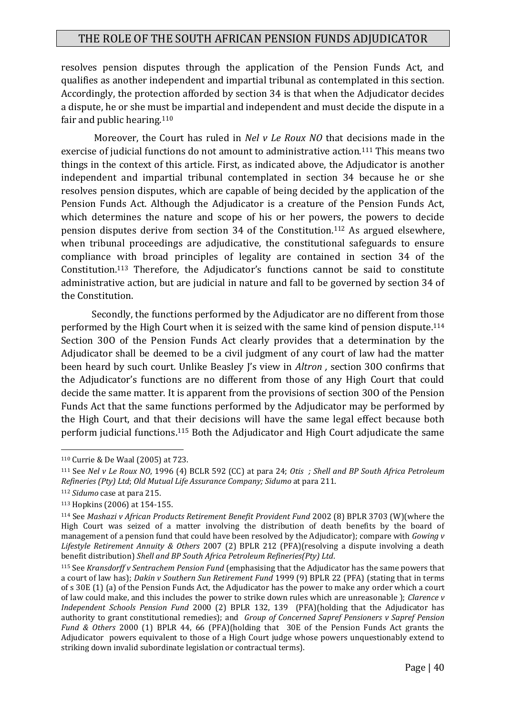resolves pension disputes through the application of the Pension Funds Act, and qualifies as another independent and impartial tribunal as contemplated in this section. Accordingly, the protection afforded by section 34 is that when the Adjudicator decides a dispute, he or she must be impartial and independent and must decide the dispute in a fair and public hearing.<sup>110</sup>

Moreover, the Court has ruled in *Nel v Le Roux NO* that decisions made in the exercise of judicial functions do not amount to administrative action.<sup>111</sup> This means two things in the context of this article. First, as indicated above, the Adjudicator is another independent and impartial tribunal contemplated in section 34 because he or she resolves pension disputes, which are capable of being decided by the application of the Pension Funds Act. Although the Adjudicator is a creature of the Pension Funds Act, which determines the nature and scope of his or her powers, the powers to decide pension disputes derive from section 34 of the Constitution.<sup>112</sup> As argued elsewhere, when tribunal proceedings are adjudicative, the constitutional safeguards to ensure compliance with broad principles of legality are contained in section 34 of the Constitution.<sup>113</sup> Therefore, the Adjudicator's functions cannot be said to constitute administrative action, but are judicial in nature and fall to be governed by section 34 of the Constitution.

Secondly, the functions performed by the Adjudicator are no different from those performed by the High Court when it is seized with the same kind of pension dispute.<sup>114</sup> Section 30O of the Pension Funds Act clearly provides that a determination by the Adjudicator shall be deemed to be a civil judgment of any court of law had the matter been heard by such court. Unlike Beasley J's view in *Altron ,* section 30O confirms that the Adjudicator's functions are no different from those of any High Court that could decide the same matter. It is apparent from the provisions of section 30O of the Pension Funds Act that the same functions performed by the Adjudicator may be performed by the High Court, and that their decisions will have the same legal effect because both perform judicial functions.<sup>115</sup> Both the Adjudicator and High Court adjudicate the same

<sup>110</sup> Currie & De Waal (2005) at 723.

<sup>111</sup> See *Nel v Le Roux NO*, 1996 (4) BCLR 592 (CC) at para 24; *Otis ; Shell and BP South Africa Petroleum Refineries (Pty) Ltd*; *Old Mutual Life Assurance Company; Sidumo* at para 211.

<sup>112</sup> *Sidumo* case at para 215.

<sup>113</sup> Hopkins (2006) at 154-155.

<sup>114</sup> See *Mashazi v African Products Retirement Benefit Provident Fund* 2002 (8) BPLR 3703 (W)(where the High Court was seized of a matter involving the distribution of death benefits by the board of management of a pension fund that could have been resolved by the Adjudicator); compare with *Gowing v Lifestyle Retirement Annuity & Others* 2007 (2) BPLR 212 (PFA)(resolving a dispute involving a death benefit distribution) *Shell and BP South Africa Petroleum Refineries(Pty) Ltd*.

<sup>115</sup> See *Kransdorff v Sentrachem Pension Fund* (emphasising that the Adjudicator has the same powers that a court of law has); *Dakin v Southern Sun Retirement Fund* 1999 (9) BPLR 22 (PFA) (stating that in terms of s 30E (1) (a) of the Pension Funds Act, the Adjudicator has the power to make any order which a court of law could make, and this includes the power to strike down rules which are unreasonable ); *Clarence v Independent Schools Pension Fund* 2000 (2) BPLR 132, 139 (PFA)(holding that the Adjudicator has authority to grant constitutional remedies); and *Group of Concerned Sapref Pensioners v Sapref Pension Fund & Others* 2000 (1) BPLR 44, 66 (PFA)(holding that 30E of the Pension Funds Act grants the Adjudicator powers equivalent to those of a High Court judge whose powers unquestionably extend to striking down invalid subordinate legislation or contractual terms).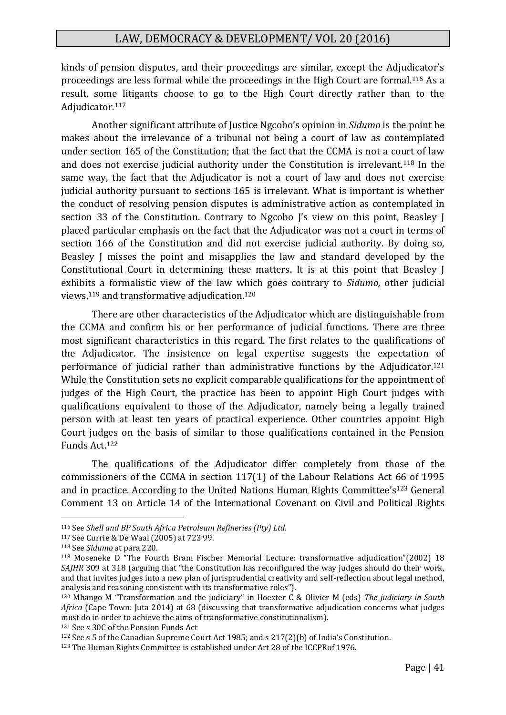kinds of pension disputes, and their proceedings are similar, except the Adjudicator's proceedings are less formal while the proceedings in the High Court are formal.<sup>116</sup> As a result, some litigants choose to go to the High Court directly rather than to the Adjudicator.<sup>117</sup>

Another significant attribute of Justice Ngcobo's opinion in *Sidumo* is the point he makes about the irrelevance of a tribunal not being a court of law as contemplated under section 165 of the Constitution; that the fact that the CCMA is not a court of law and does not exercise judicial authority under the Constitution is irrelevant.<sup>118</sup> In the same way, the fact that the Adjudicator is not a court of law and does not exercise judicial authority pursuant to sections 165 is irrelevant. What is important is whether the conduct of resolving pension disputes is administrative action as contemplated in section 33 of the Constitution. Contrary to Ngcobo J's view on this point, Beasley J placed particular emphasis on the fact that the Adjudicator was not a court in terms of section 166 of the Constitution and did not exercise judicial authority. By doing so, Beasley J misses the point and misapplies the law and standard developed by the Constitutional Court in determining these matters. It is at this point that Beasley J exhibits a formalistic view of the law which goes contrary to *Sidumo,* other judicial views,<sup>119</sup> and transformative adjudication.<sup>120</sup>

There are other characteristics of the Adjudicator which are distinguishable from the CCMA and confirm his or her performance of judicial functions. There are three most significant characteristics in this regard. The first relates to the qualifications of the Adjudicator. The insistence on legal expertise suggests the expectation of performance of judicial rather than administrative functions by the Adjudicator.<sup>121</sup> While the Constitution sets no explicit comparable qualifications for the appointment of judges of the High Court, the practice has been to appoint High Court judges with qualifications equivalent to those of the Adjudicator, namely being a legally trained person with at least ten years of practical experience. Other countries appoint High Court judges on the basis of similar to those qualifications contained in the Pension Funds Act.<sup>122</sup>

The qualifications of the Adjudicator differ completely from those of the commissioners of the CCMA in section 117(1) of the Labour Relations Act 66 of 1995 and in practice. According to the United Nations Human Rights Committee's<sup>123</sup> General Comment 13 on Article 14 of the International Covenant on Civil and Political Rights

1

<sup>121</sup> See s 30C of the Pension Funds Act

<sup>116</sup> See *Shell and BP South Africa Petroleum Refineries (Pty) Ltd*.

<sup>117</sup> See Currie & De Waal (2005) at 723 99.

<sup>118</sup> See *Sidumo* at para 220.

<sup>119</sup> Moseneke D "The Fourth Bram Fischer Memorial Lecture: transformative adjudication"(2002) 18 *SAJHR* 309 at 318 (arguing that "the Constitution has reconfigured the way judges should do their work, and that invites judges into a new plan of jurisprudential creativity and self-reflection about legal method, analysis and reasoning consistent with its transformative roles").

<sup>120</sup> Mhango M "Transformation and the judiciary" in Hoexter C & Olivier M (eds) *The judiciary in South Africa* (Cape Town: Juta 2014) at 68 (discussing that transformative adjudication concerns what judges must do in order to achieve the aims of transformative constitutionalism).

<sup>122</sup> See s 5 of the Canadian Supreme Court Act 1985; and s 217(2)(b) of India's Constitution.

<sup>123</sup> The Human Rights Committee is established under Art 28 of the ICCPRof 1976.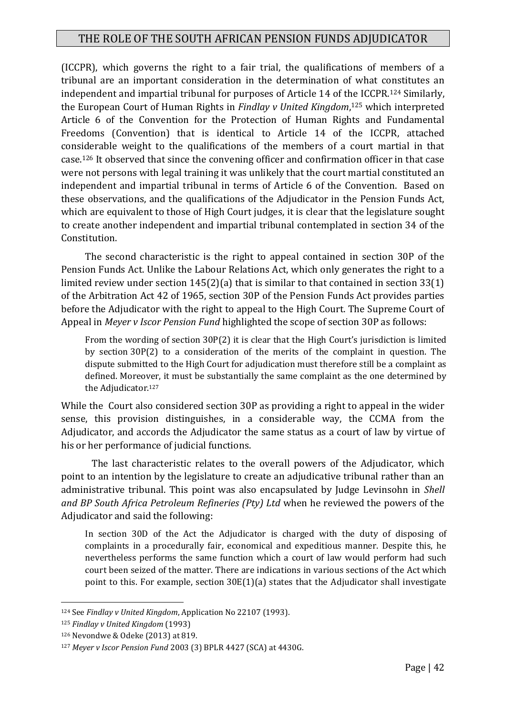(ICCPR), which governs the right to a fair trial, the qualifications of members of a tribunal are an important consideration in the determination of what constitutes an independent and impartial tribunal for purposes of Article 14 of the ICCPR.<sup>124</sup> Similarly, the European Court of Human Rights in *Findlay v United Kingdom*, <sup>125</sup> which interpreted Article 6 of the Convention for the Protection of Human Rights and Fundamental Freedoms (Convention) that is identical to Article 14 of the ICCPR, attached considerable weight to the qualifications of the members of a court martial in that case.<sup>126</sup> It observed that since the convening officer and confirmation officer in that case were not persons with legal training it was unlikely that the court martial constituted an independent and impartial tribunal in terms of Article 6 of the Convention. Based on these observations, and the qualifications of the Adjudicator in the Pension Funds Act, which are equivalent to those of High Court judges, it is clear that the legislature sought to create another independent and impartial tribunal contemplated in section 34 of the Constitution.

The second characteristic is the right to appeal contained in section 30P of the Pension Funds Act. Unlike the Labour Relations Act, which only generates the right to a limited review under section 145(2)(a) that is similar to that contained in section 33(1) of the Arbitration Act 42 of 1965, section 30P of the Pension Funds Act provides parties before the Adjudicator with the right to appeal to the High Court. The Supreme Court of Appeal in *Meyer v Iscor Pension Fund* highlighted the scope of section 30P as follows:

From the wording of section 30P(2) it is clear that the High Court's jurisdiction is limited by section 30P(2) to a consideration of the merits of the complaint in question. The dispute submitted to the High Court for adjudication must therefore still be a complaint as defined. Moreover, it must be substantially the same complaint as the one determined by the Adjudicator.<sup>127</sup>

While the Court also considered section 30P as providing a right to appeal in the wider sense, this provision distinguishes, in a considerable way, the CCMA from the Adjudicator, and accords the Adjudicator the same status as a court of law by virtue of his or her performance of judicial functions.

The last characteristic relates to the overall powers of the Adjudicator, which point to an intention by the legislature to create an adjudicative tribunal rather than an administrative tribunal. This point was also encapsulated by Judge Levinsohn in *Shell and BP South Africa Petroleum Refineries (Pty) Ltd* when he reviewed the powers of the Adjudicator and said the following:

In section 30D of the Act the Adjudicator is charged with the duty of disposing of complaints in a procedurally fair, economical and expeditious manner. Despite this, he nevertheless performs the same function which a court of law would perform had such court been seized of the matter. There are indications in various sections of the Act which point to this. For example, section  $30E(1)(a)$  states that the Adjudicator shall investigate

<sup>124</sup> See *Findlay v United Kingdom*, Application No 22107 (1993).

<sup>125</sup> *Findlay v United Kingdom* (1993)

<sup>126</sup> Nevondwe & Odeke (2013) at 819.

<sup>127</sup> *Meyer v Iscor Pension Fund* 2003 (3) BPLR 4427 (SCA) at 4430G.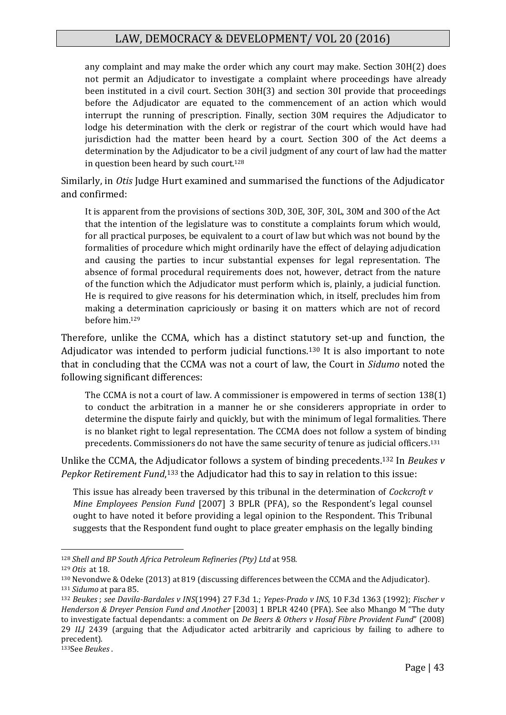any complaint and may make the order which any court may make. Section 30H(2) does not permit an Adjudicator to investigate a complaint where proceedings have already been instituted in a civil court. Section 30H(3) and section 30I provide that proceedings before the Adjudicator are equated to the commencement of an action which would interrupt the running of prescription. Finally, section 30M requires the Adjudicator to lodge his determination with the clerk or registrar of the court which would have had jurisdiction had the matter been heard by a court. Section 30O of the Act deems a determination by the Adjudicator to be a civil judgment of any court of law had the matter in question been heard by such court.<sup>128</sup>

Similarly, in *Otis* Judge Hurt examined and summarised the functions of the Adjudicator and confirmed:

It is apparent from the provisions of sections 30D, 30E, 30F, 30L, 30M and 30O of the Act that the intention of the legislature was to constitute a complaints forum which would, for all practical purposes, be equivalent to a court of law but which was not bound by the formalities of procedure which might ordinarily have the effect of delaying adjudication and causing the parties to incur substantial expenses for legal representation. The absence of formal procedural requirements does not, however, detract from the nature of the function which the Adjudicator must perform which is, plainly, a judicial function. He is required to give reasons for his determination which, in itself, precludes him from making a determination capriciously or basing it on matters which are not of record before him.<sup>129</sup>

Therefore, unlike the CCMA, which has a distinct statutory set-up and function, the Adjudicator was intended to perform judicial functions.<sup>130</sup> It is also important to note that in concluding that the CCMA was not a court of law, the Court in *Sidumo* noted the following significant differences:

The CCMA is not a court of law. A commissioner is empowered in terms of section 138(1) to conduct the arbitration in a manner he or she considerers appropriate in order to determine the dispute fairly and quickly, but with the minimum of legal formalities. There is no blanket right to legal representation. The CCMA does not follow a system of binding precedents. Commissioners do not have the same security of tenure as judicial officers.<sup>131</sup>

Unlike the CCMA, the Adjudicator follows a system of binding precedents. <sup>132</sup> In *Beukes v*  Pepkor Retirement Fund,<sup>133</sup> the Adjudicator had this to say in relation to this issue:

This issue has already been traversed by this tribunal in the determination of *Cockcroft v Mine Employees Pension Fund* [2007] 3 BPLR (PFA), so the Respondent's legal counsel ought to have noted it before providing a legal opinion to the Respondent. This Tribunal suggests that the Respondent fund ought to place greater emphasis on the legally binding

<sup>1</sup> <sup>128</sup> *Shell and BP South Africa Petroleum Refineries (Pty) Ltd* at 958*.*

<sup>129</sup> *Otis* at 18.

<sup>130</sup> Nevondwe & Odeke (2013) at 819 (discussing differences between the CCMA and the Adjudicator).

<sup>131</sup> *Sidumo* at para 85.

<sup>132</sup> *Beukes* ; *see Davila-Bardales v INS*(1994) 27 F.3d 1.; *Yepes-Prado v INS*, 10 F.3d 1363 (1992); *Fischer v Henderson & Dreyer Pension Fund and Another* [2003] 1 BPLR 4240 (PFA). See also Mhango M "The duty to investigate factual dependants: a comment on *De Beers & Others v Hosaf Fibre Provident Fund*" (2008) 29 *ILJ* 2439 (arguing that the Adjudicator acted arbitrarily and capricious by failing to adhere to precedent).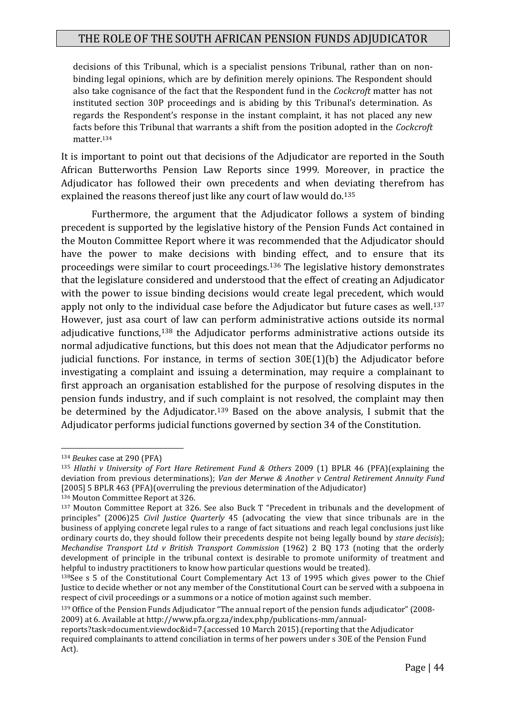decisions of this Tribunal, which is a specialist pensions Tribunal, rather than on nonbinding legal opinions, which are by definition merely opinions. The Respondent should also take cognisance of the fact that the Respondent fund in the *Cockcroft* matter has not instituted section 30P proceedings and is abiding by this Tribunal's determination. As regards the Respondent's response in the instant complaint, it has not placed any new facts before this Tribunal that warrants a shift from the position adopted in the *Cockcroft*  matter.<sup>134</sup>

It is important to point out that decisions of the Adjudicator are reported in the South African Butterworths Pension Law Reports since 1999. Moreover, in practice the Adjudicator has followed their own precedents and when deviating therefrom has explained the reasons thereof just like any court of law would do.<sup>135</sup>

Furthermore, the argument that the Adjudicator follows a system of binding precedent is supported by the legislative history of the Pension Funds Act contained in the Mouton Committee Report where it was recommended that the Adjudicator should have the power to make decisions with binding effect, and to ensure that its proceedings were similar to court proceedings.<sup>136</sup> The legislative history demonstrates that the legislature considered and understood that the effect of creating an Adjudicator with the power to issue binding decisions would create legal precedent, which would apply not only to the individual case before the Adjudicator but future cases as well.<sup>137</sup> However, just asa court of law can perform administrative actions outside its normal adjudicative functions,<sup>138</sup> the Adjudicator performs administrative actions outside its normal adjudicative functions, but this does not mean that the Adjudicator performs no judicial functions. For instance, in terms of section 30E(1)(b) the Adjudicator before investigating a complaint and issuing a determination, may require a complainant to first approach an organisation established for the purpose of resolving disputes in the pension funds industry, and if such complaint is not resolved, the complaint may then be determined by the Adjudicator.<sup>139</sup> Based on the above analysis, I submit that the Adjudicator performs judicial functions governed by section 34 of the Constitution.

<sup>134</sup> *Beukes* case at 290 (PFA)

<sup>135</sup> *Hlathi v University of Fort Hare Retirement Fund & Others* 2009 (1) BPLR 46 (PFA)(explaining the deviation from previous determinations); *Van der Merwe & Another v Central Retirement Annuity Fund*  [2005] 5 BPLR 463 (PFA)(overruling the previous determination of the Adjudicator)

<sup>136</sup> Mouton Committee Report at 326.

<sup>&</sup>lt;sup>137</sup> Mouton Committee Report at 326. See also Buck T "Precedent in tribunals and the development of principles" (2006)25 *Civil Justice Quarterly* 45 (advocating the view that since tribunals are in the business of applying concrete legal rules to a range of fact situations and reach legal conclusions just like ordinary courts do, they should follow their precedents despite not being legally bound by *stare decisis*); *Mechandise Transport Ltd v British Transport Commission* (1962) 2 BQ 173 (noting that the orderly development of principle in the tribunal context is desirable to promote uniformity of treatment and helpful to industry practitioners to know how particular questions would be treated).

<sup>138</sup>See s 5 of the Constitutional Court Complementary Act 13 of 1995 which gives power to the Chief Justice to decide whether or not any member of the Constitutional Court can be served with a subpoena in respect of civil proceedings or a summons or a notice of motion against such member.

<sup>139</sup> Office of the Pension Funds Adjudicator "The annual report of the pension funds adjudicator" (2008- 2009) at 6. Available at http://www.pfa.org.za/index.php/publications-mm/annual-

reports?task=document.viewdoc&id=7.(accessed 10 March 2015).(reporting that the Adjudicator required complainants to attend conciliation in terms of her powers under s 30E of the Pension Fund Act).